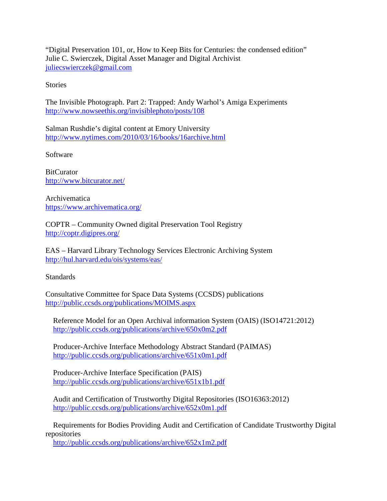"Digital Preservation 101, or, How to Keep Bits for Centuries: the condensed edition" Julie C. Swierczek, Digital Asset Manager and Digital Archivist [juliecswierczek@gmail.com](mailto:juliecswierczek@gmail.com) 

**Stories** 

The Invisible Photograph. Part 2: Trapped: Andy Warhol's Amiga Experiments <http://www.nowseethis.org/invisiblephoto/posts/108>

Salman Rushdie's digital content at Emory University <http://www.nytimes.com/2010/03/16/books/16archive.html>

Software

**BitCurator** <http://www.bitcurator.net/>

Archivematica <https://www.archivematica.org/>

COPTR – Community Owned digital Preservation Tool Registry <http://coptr.digipres.org/>

EAS – Harvard Library Technology Services Electronic Archiving System <http://hul.harvard.edu/ois/systems/eas/>

Standards

Consultative Committee for Space Data Systems (CCSDS) publications <http://public.ccsds.org/publications/MOIMS.aspx>

 Reference Model for an Open Archival information System (OAIS) (ISO14721:2012) <http://public.ccsds.org/publications/archive/650x0m2.pdf>

 Producer-Archive Interface Methodology Abstract Standard (PAIMAS) <http://public.ccsds.org/publications/archive/651x0m1.pdf>

 Producer-Archive Interface Specification (PAIS) <http://public.ccsds.org/publications/archive/651x1b1.pdf>

 Audit and Certification of Trustworthy Digital Repositories (ISO16363:2012) <http://public.ccsds.org/publications/archive/652x0m1.pdf>

 Requirements for Bodies Providing Audit and Certification of Candidate Trustworthy Digital repositories

<http://public.ccsds.org/publications/archive/652x1m2.pdf>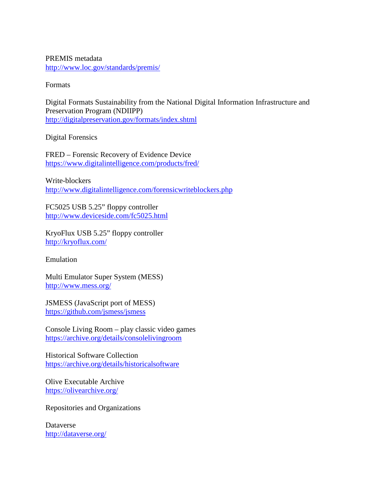PREMIS metadata <http://www.loc.gov/standards/premis/>

Formats

Digital Formats Sustainability from the National Digital Information Infrastructure and Preservation Program (NDIIPP) <http://digitalpreservation.gov/formats/index.shtml>

Digital Forensics

FRED – Forensic Recovery of Evidence Device <https://www.digitalintelligence.com/products/fred/>

Write-blockers <http://www.digitalintelligence.com/forensicwriteblockers.php>

FC5025 USB 5.25" floppy controller <http://www.deviceside.com/fc5025.html>

KryoFlux USB 5.25" floppy controller <http://kryoflux.com/>

Emulation

Multi Emulator Super System (MESS) <http://www.mess.org/>

JSMESS (JavaScript port of MESS) <https://github.com/jsmess/jsmess>

Console Living Room – play classic video games <https://archive.org/details/consolelivingroom>

Historical Software Collection <https://archive.org/details/historicalsoftware>

Olive Executable Archive <https://olivearchive.org/>

Repositories and Organizations

Dataverse <http://dataverse.org/>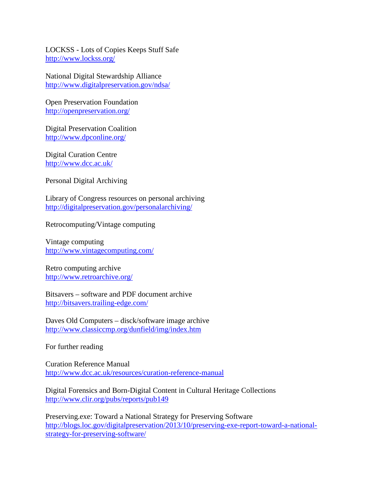LOCKSS - Lots of Copies Keeps Stuff Safe <http://www.lockss.org/>

National Digital Stewardship Alliance <http://www.digitalpreservation.gov/ndsa/>

Open Preservation Foundation <http://openpreservation.org/>

Digital Preservation Coalition <http://www.dpconline.org/>

Digital Curation Centre <http://www.dcc.ac.uk/>

Personal Digital Archiving

Library of Congress resources on personal archiving <http://digitalpreservation.gov/personalarchiving/>

Retrocomputing/Vintage computing

Vintage computing <http://www.vintagecomputing.com/>

Retro computing archive <http://www.retroarchive.org/>

Bitsavers – software and PDF document archive <http://bitsavers.trailing-edge.com/>

Daves Old Computers – disck/software image archive <http://www.classiccmp.org/dunfield/img/index.htm>

For further reading

Curation Reference Manual <http://www.dcc.ac.uk/resources/curation-reference-manual>

Digital Forensics and Born-Digital Content in Cultural Heritage Collections <http://www.clir.org/pubs/reports/pub149>

Preserving.exe: Toward a National Strategy for Preserving Software [http://blogs.loc.gov/digitalpreservation/2013/10/preserving-exe-report-toward-a-national](http://blogs.loc.gov/digitalpreservation/2013/10/preserving-exe-report-toward-a-national-strategy-for-preserving-software/)[strategy-for-preserving-software/](http://blogs.loc.gov/digitalpreservation/2013/10/preserving-exe-report-toward-a-national-strategy-for-preserving-software/)